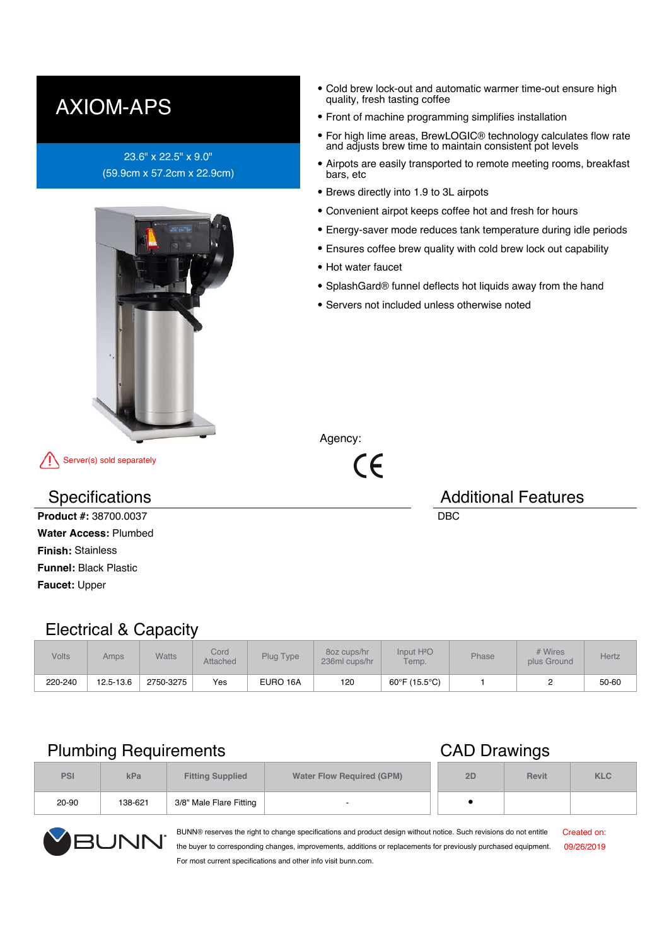## AXIOM-APS

#### 23.6" x 22.5" x 9.0" (59.9cm x 57.2cm x 22.9cm)



Server(s) sold separately

**Product #:** 38700.0037 DBC **Water Access:** Plumbed **Finish:** Stainless **Funnel:** Black Plastic **Faucet:** Upper

#### $\bullet$ Cold brew lock-out and automatic warmer time-out ensure high quality, fresh tasting coffee

- Front of machine programming simplifies installation
- For high lime areas, BrewLOGIC® technology calculates flow rate and adjusts brew time to maintain consistent pot levels
- Airpots are easily transported to remote meeting rooms, breakfast bars, etc
- Brews directly into 1.9 to 3L airpots
- Convenient airpot keeps coffee hot and fresh for hours
- Energy-saver mode reduces tank temperature during idle periods
- Ensures coffee brew quality with cold brew lock out capability
- Hot water faucet
- SplashGard® funnel deflects hot liquids away from the hand
- Servers not included unless otherwise noted

Agency:

 $\epsilon$ 

# Specifications **Additional Features** Additional Features

### Electrical & Capacity

| <b>Volts</b> | Amps      | Watts     | Cord<br>Attached | Plug Type | 80z cups/hr<br>236ml cups/hr | Input H <sup>2</sup> O<br>Temp. | Phase | # Wires<br>plus Ground | Hertz |
|--------------|-----------|-----------|------------------|-----------|------------------------------|---------------------------------|-------|------------------------|-------|
| 220-240      | 12.5-13.6 | 2750-3275 | Yes              | EURO 16A  | 120                          | 60°F (15.5°C)                   |       |                        | 50-60 |

### Plumbing Requirements **CAD** Drawings

| <b>PSI</b> | kPa     | <b>Fitting Supplied</b> | <b>Water Flow Required (GPM)</b> | 2D | <b>Revit</b> | <b>KLC</b> |
|------------|---------|-------------------------|----------------------------------|----|--------------|------------|
| 20-90      | 138-621 | 3/8" Male Flare Fitting |                                  |    |              |            |



BUNN® reserves the right to change specifications and product design without notice. Such revisions do not entitle the buyer to corresponding changes, improvements, additions or replacements for previously purchased equipment. For most current specifications and other info visit bunn.com.

Created on: 09/26/2019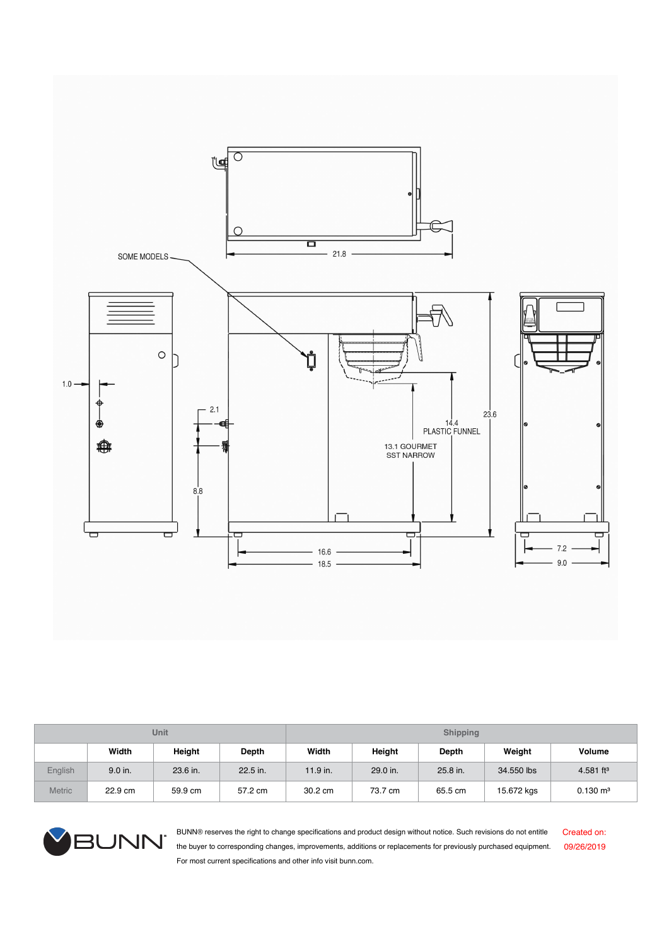

| Unit          |           |          |          | <b>Shipping</b> |          |          |            |                     |
|---------------|-----------|----------|----------|-----------------|----------|----------|------------|---------------------|
|               | Width     | Height   | Depth    | Width           | Height   | Depth    | Weight     | <b>Volume</b>       |
| English       | $9.0$ in. | 23.6 in. | 22.5 in. | $11.9$ in.      | 29.0 in. | 25.8 in. | 34,550 lbs | 4.581 $ft^3$        |
| <b>Metric</b> | 22.9 cm   | 59.9 cm  | 57.2 cm  | 30.2 cm         | 73.7 cm  | 65.5 cm  | 15.672 kgs | $0.130 \text{ m}^3$ |



BUNN® reserves the right to change specifications and product design without notice. Such revisions do not entitle the buyer to corresponding changes, improvements, additions or replacements for previously purchased equipment. For most current specifications and other info visit bunn.com.

Created on: 09/26/2019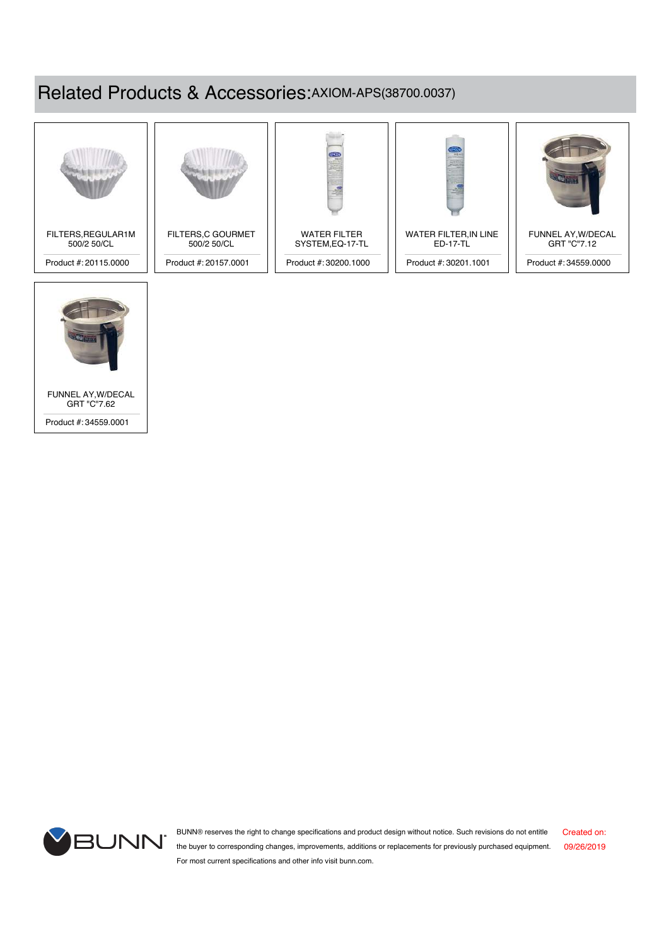## Related Products & Accessories:AXIOM-APS(38700.0037)





FUNNEL AY,W/DECAL GRT "C"7.62

Product #: 34559.0001

BUNN® reserves the right to change specifications and product design without notice. Such revisions do not entitle Created on: **BUNN** the buyer to corresponding changes, improvements, additions or replacements for previously purchased equipment. 09/26/2019 For most current specifications and other info visit bunn.com.